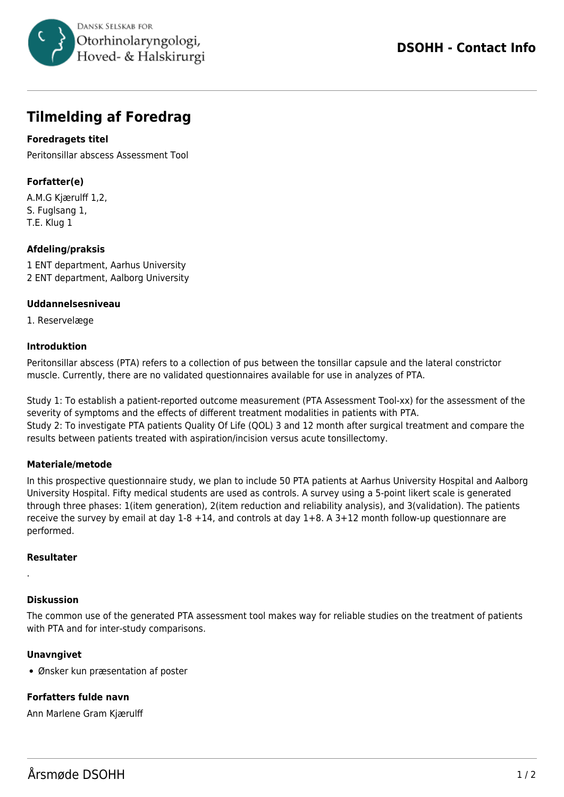

# **Tilmelding af Foredrag**

## **Foredragets titel**

Peritonsillar abscess Assessment Tool

# **Forfatter(e)**

A.M.G Kjærulff 1,2, S. Fuglsang 1, T.E. Klug 1

## **Afdeling/praksis**

1 ENT department, Aarhus University 2 ENT department, Aalborg University

#### **Uddannelsesniveau**

1. Reservelæge

#### **Introduktion**

Peritonsillar abscess (PTA) refers to a collection of pus between the tonsillar capsule and the lateral constrictor muscle. Currently, there are no validated questionnaires available for use in analyzes of PTA.

Study 1: To establish a patient-reported outcome measurement (PTA Assessment Tool-xx) for the assessment of the severity of symptoms and the effects of different treatment modalities in patients with PTA. Study 2: To investigate PTA patients Quality Of Life (QOL) 3 and 12 month after surgical treatment and compare the results between patients treated with aspiration/incision versus acute tonsillectomy.

## **Materiale/metode**

In this prospective questionnaire study, we plan to include 50 PTA patients at Aarhus University Hospital and Aalborg University Hospital. Fifty medical students are used as controls. A survey using a 5-point likert scale is generated through three phases: 1(item generation), 2(item reduction and reliability analysis), and 3(validation). The patients receive the survey by email at day 1-8 +14, and controls at day 1+8. A 3+12 month follow-up questionnare are performed.

#### **Resultater**

.

#### **Diskussion**

The common use of the generated PTA assessment tool makes way for reliable studies on the treatment of patients with PTA and for inter-study comparisons.

## **Unavngivet**

Ønsker kun præsentation af poster

## **Forfatters fulde navn**

Ann Marlene Gram Kjærulff